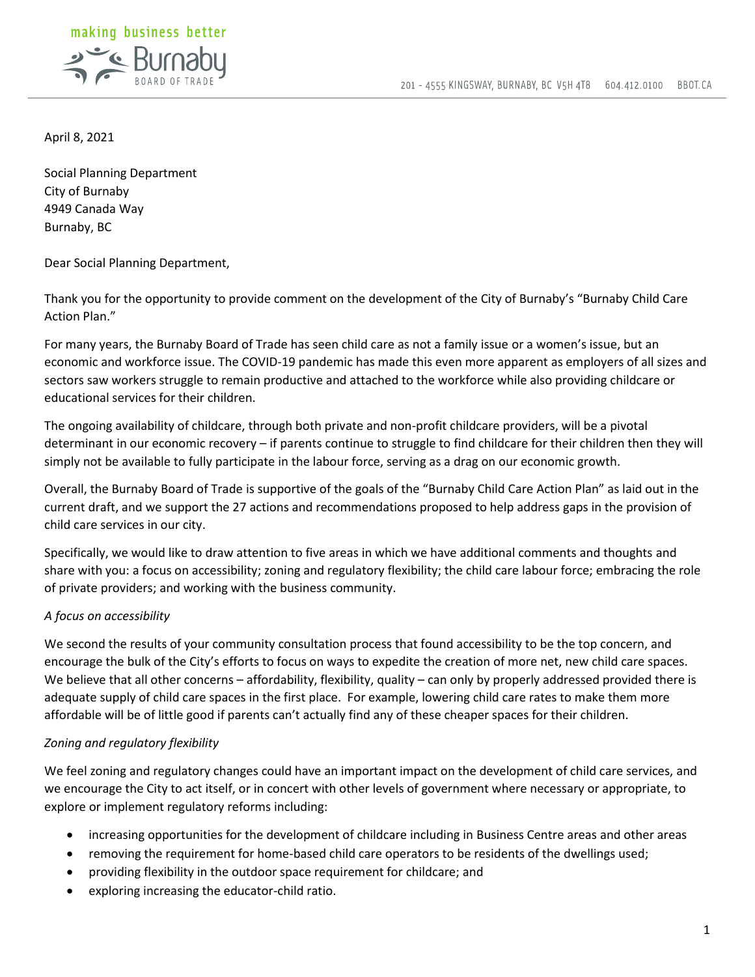

April 8, 2021

Social Planning Department City of Burnaby 4949 Canada Way Burnaby, BC

Dear Social Planning Department,

Thank you for the opportunity to provide comment on the development of the City of Burnaby's "Burnaby Child Care Action Plan."

For many years, the Burnaby Board of Trade has seen child care as not a family issue or a women's issue, but an economic and workforce issue. The COVID-19 pandemic has made this even more apparent as employers of all sizes and sectors saw workers struggle to remain productive and attached to the workforce while also providing childcare or educational services for their children.

The ongoing availability of childcare, through both private and non-profit childcare providers, will be a pivotal determinant in our economic recovery – if parents continue to struggle to find childcare for their children then they will simply not be available to fully participate in the labour force, serving as a drag on our economic growth.

Overall, the Burnaby Board of Trade is supportive of the goals of the "Burnaby Child Care Action Plan" as laid out in the current draft, and we support the 27 actions and recommendations proposed to help address gaps in the provision of child care services in our city.

Specifically, we would like to draw attention to five areas in which we have additional comments and thoughts and share with you: a focus on accessibility; zoning and regulatory flexibility; the child care labour force; embracing the role of private providers; and working with the business community.

# *A focus on accessibility*

We second the results of your community consultation process that found accessibility to be the top concern, and encourage the bulk of the City's efforts to focus on ways to expedite the creation of more net, new child care spaces. We believe that all other concerns – affordability, flexibility, quality – can only by properly addressed provided there is adequate supply of child care spaces in the first place. For example, lowering child care rates to make them more affordable will be of little good if parents can't actually find any of these cheaper spaces for their children.

# *Zoning and regulatory flexibility*

We feel zoning and regulatory changes could have an important impact on the development of child care services, and we encourage the City to act itself, or in concert with other levels of government where necessary or appropriate, to explore or implement regulatory reforms including:

- increasing opportunities for the development of childcare including in Business Centre areas and other areas
- removing the requirement for home-based child care operators to be residents of the dwellings used;
- providing flexibility in the outdoor space requirement for childcare; and
- exploring increasing the educator-child ratio.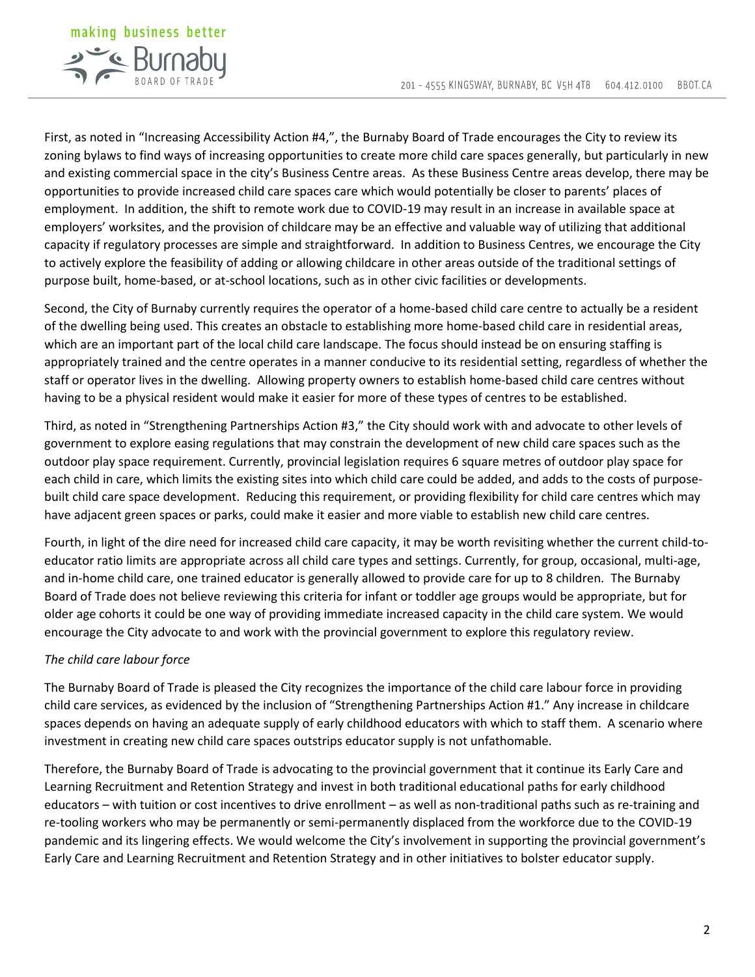

First, as noted in "Increasing Accessibility Action #4,", the Burnaby Board of Trade encourages the City to review its zoning bylaws to find ways of increasing opportunities to create more child care spaces generally, but particularly in new and existing commercial space in the city's Business Centre areas. As these Business Centre areas develop, there may be opportunities to provide increased child care spaces care which would potentially be closer to parents' places of employment. In addition, the shift to remote work due to COVID-19 may result in an increase in available space at employers' worksites, and the provision of childcare may be an effective and valuable way of utilizing that additional capacity if regulatory processes are simple and straightforward. In addition to Business Centres, we encourage the City to actively explore the feasibility of adding or allowing childcare in other areas outside of the traditional settings of purpose built, home-based, or at-school locations, such as in other civic facilities or developments.

Second, the City of Burnaby currently requires the operator of a home-based child care centre to actually be a resident of the dwelling being used. This creates an obstacle to establishing more home-based child care in residential areas, which are an important part of the local child care landscape. The focus should instead be on ensuring staffing is appropriately trained and the centre operates in a manner conducive to its residential setting, regardless of whether the staff or operator lives in the dwelling. Allowing property owners to establish home-based child care centres without having to be a physical resident would make it easier for more of these types of centres to be established.

Third, as noted in "Strengthening Partnerships Action #3," the City should work with and advocate to other levels of government to explore easing regulations that may constrain the development of new child care spaces such as the outdoor play space requirement. Currently, provincial legislation requires 6 square metres of outdoor play space for each child in care, which limits the existing sites into which child care could be added, and adds to the costs of purposebuilt child care space development. Reducing this requirement, or providing flexibility for child care centres which may have adjacent green spaces or parks, could make it easier and more viable to establish new child care centres.

Fourth, in light of the dire need for increased child care capacity, it may be worth revisiting whether the current child-toeducator ratio limits are appropriate across all child care types and settings. Currently, for group, occasional, multi-age, and in-home child care, one trained educator is generally allowed to provide care for up to 8 children. The Burnaby Board of Trade does not believe reviewing this criteria for infant or toddler age groups would be appropriate, but for older age cohorts it could be one way of providing immediate increased capacity in the child care system. We would encourage the City advocate to and work with the provincial government to explore this regulatory review.

## *The child care labour force*

The Burnaby Board of Trade is pleased the City recognizes the importance of the child care labour force in providing child care services, as evidenced by the inclusion of "Strengthening Partnerships Action #1." Any increase in childcare spaces depends on having an adequate supply of early childhood educators with which to staff them. A scenario where investment in creating new child care spaces outstrips educator supply is not unfathomable.

Therefore, the Burnaby Board of Trade is advocating to the provincial government that it continue its Early Care and Learning Recruitment and Retention Strategy and invest in both traditional educational paths for early childhood educators – with tuition or cost incentives to drive enrollment – as well as non-traditional paths such as re-training and re-tooling workers who may be permanently or semi-permanently displaced from the workforce due to the COVID-19 pandemic and its lingering effects. We would welcome the City's involvement in supporting the provincial government's Early Care and Learning Recruitment and Retention Strategy and in other initiatives to bolster educator supply.